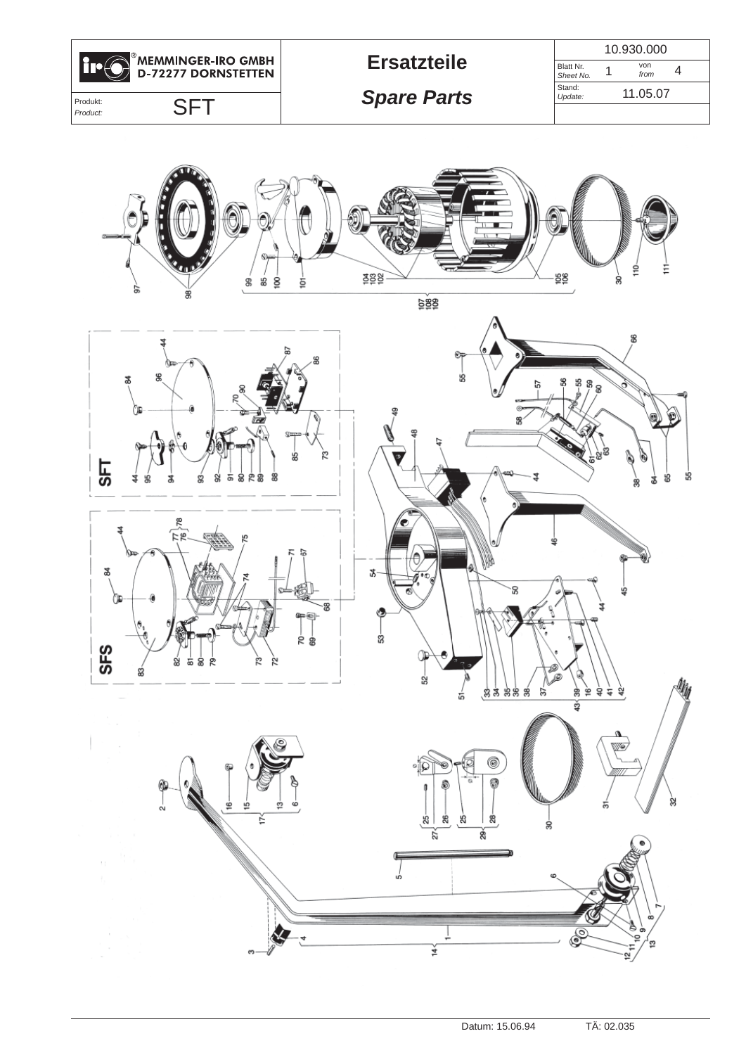

**Ersatzteile**

Blatt Nr. *Sheet No.* 1 <sup>von</sup> 4 Stand: *Update:* 10.930.000

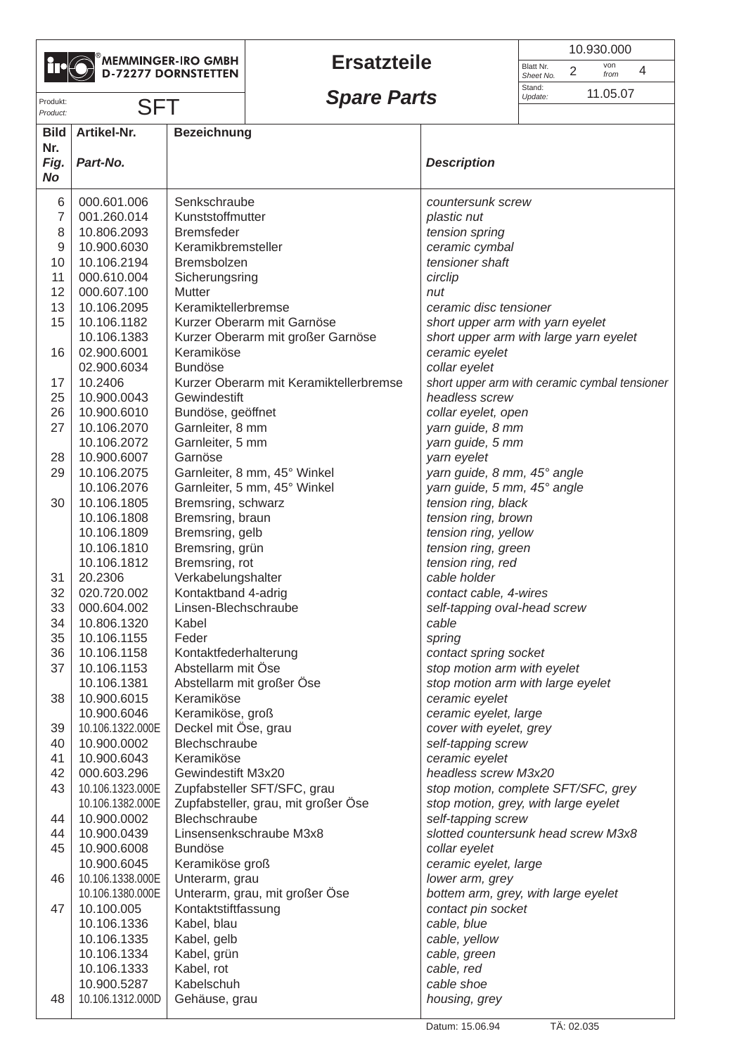|--|

# MEMMINGER-IRO GMBH

## **Ersatzteile**

|                        | 10.930.000            |  |  |
|------------------------|-----------------------|--|--|
| Blatt Nr.<br>Sheet No. | von<br>2<br>4<br>from |  |  |
| Stand:<br>Update:      | 11.05.07              |  |  |
|                        |                       |  |  |

| Produkt:           |                            |                              | <b>Spare Parts</b>                     |                                        | uanu.<br>Update: | 11.05.07                                      |  |
|--------------------|----------------------------|------------------------------|----------------------------------------|----------------------------------------|------------------|-----------------------------------------------|--|
| Product:           | <b>SFT</b>                 |                              |                                        |                                        |                  |                                               |  |
| <b>Bild</b><br>Nr. | Artikel-Nr.                | <b>Bezeichnung</b>           |                                        |                                        |                  |                                               |  |
| Fig.<br><b>No</b>  | Part-No.                   |                              |                                        | <b>Description</b>                     |                  |                                               |  |
| 6                  | 000.601.006                | Senkschraube                 |                                        | countersunk screw                      |                  |                                               |  |
| $\overline{7}$     | 001.260.014                | Kunststoffmutter             |                                        | plastic nut                            |                  |                                               |  |
| 8                  | 10.806.2093                | <b>Bremsfeder</b>            |                                        | tension spring                         |                  |                                               |  |
| $\boldsymbol{9}$   | 10.900.6030                | Keramikbremsteller           |                                        | ceramic cymbal                         |                  |                                               |  |
| 10                 | 10.106.2194                | Bremsbolzen                  |                                        | tensioner shaft                        |                  |                                               |  |
| 11                 | 000.610.004                | Sicherungsring               |                                        | circlip                                |                  |                                               |  |
| 12                 | 000.607.100                | <b>Mutter</b>                |                                        | nut                                    |                  |                                               |  |
| 13                 | 10.106.2095                | Keramiktellerbremse          |                                        | ceramic disc tensioner                 |                  |                                               |  |
| 15                 | 10.106.1182                |                              | Kurzer Oberarm mit Garnöse             | short upper arm with yarn eyelet       |                  |                                               |  |
|                    | 10.106.1383                |                              | Kurzer Oberarm mit großer Garnöse      | short upper arm with large yarn eyelet |                  |                                               |  |
| 16                 | 02.900.6001                | Keramiköse<br><b>Bundöse</b> |                                        | ceramic eyelet                         |                  |                                               |  |
| 17                 | 02.900.6034<br>10.2406     |                              | Kurzer Oberarm mit Keramiktellerbremse | collar eyelet                          |                  |                                               |  |
| 25                 | 10.900.0043                | Gewindestift                 |                                        | headless screw                         |                  | short upper arm with ceramic cymbal tensioner |  |
| 26                 | 10.900.6010                | Bundöse, geöffnet            |                                        | collar eyelet, open                    |                  |                                               |  |
| 27                 | 10.106.2070                | Garnleiter, 8 mm             |                                        | yarn guide, 8 mm                       |                  |                                               |  |
|                    | 10.106.2072                | Garnleiter, 5 mm             |                                        | yarn guide, 5 mm                       |                  |                                               |  |
| 28                 | 10.900.6007                | Garnöse                      |                                        | yarn eyelet                            |                  |                                               |  |
| 29                 | 10.106.2075                |                              | Garnleiter, 8 mm, 45° Winkel           | yarn guide, 8 mm, 45° angle            |                  |                                               |  |
|                    | 10.106.2076                |                              | Garnleiter, 5 mm, 45° Winkel           | yarn guide, 5 mm, 45° angle            |                  |                                               |  |
| 30                 | 10.106.1805                | Bremsring, schwarz           |                                        | tension ring, black                    |                  |                                               |  |
|                    | 10.106.1808                | Bremsring, braun             |                                        | tension ring, brown                    |                  |                                               |  |
|                    | 10.106.1809                | Bremsring, gelb              |                                        | tension ring, yellow                   |                  |                                               |  |
|                    | 10.106.1810                | Bremsring, grün              |                                        | tension ring, green                    |                  |                                               |  |
|                    | 10.106.1812                | Bremsring, rot               |                                        | tension ring, red                      |                  |                                               |  |
| 31                 | 20.2306                    | Verkabelungshalter           |                                        | cable holder                           |                  |                                               |  |
| 32                 | 020.720.002                | Kontaktband 4-adrig          |                                        | contact cable, 4-wires                 |                  |                                               |  |
| 33                 | 000.604.002                | Linsen-Blechschraube         |                                        | self-tapping oval-head screw           |                  |                                               |  |
| 34                 | 10.806.1320                | Kabel                        |                                        | cable                                  |                  |                                               |  |
| 35                 | 10.106.1155                | Feder                        |                                        | spring                                 |                  |                                               |  |
| 36                 | 10.106.1158                | Kontaktfederhalterung        |                                        | contact spring socket                  |                  |                                               |  |
| 37                 | 10.106.1153                | Abstellarm mit Öse           |                                        | stop motion arm with eyelet            |                  |                                               |  |
|                    | 10.106.1381                |                              | Abstellarm mit großer Öse              | stop motion arm with large eyelet      |                  |                                               |  |
| 38                 | 10.900.6015                | Keramiköse                   |                                        | ceramic eyelet                         |                  |                                               |  |
|                    | 10.900.6046                | Keramiköse, groß             |                                        | ceramic eyelet, large                  |                  |                                               |  |
| 39                 | 10.106.1322.000E           | Deckel mit Öse, grau         |                                        | cover with eyelet, grey                |                  |                                               |  |
| 40                 | 10.900.0002                | Blechschraube<br>Keramiköse  |                                        | self-tapping screw                     |                  |                                               |  |
| 41<br>42           | 10.900.6043<br>000.603.296 | Gewindestift M3x20           |                                        | ceramic eyelet<br>headless screw M3x20 |                  |                                               |  |
| 43                 | 10.106.1323.000E           |                              | Zupfabsteller SFT/SFC, grau            | stop motion, complete SFT/SFC, grey    |                  |                                               |  |
|                    | 10.106.1382.000E           |                              | Zupfabsteller, grau, mit großer Öse    | stop motion, grey, with large eyelet   |                  |                                               |  |
| 44                 | 10.900.0002                | Blechschraube                |                                        | self-tapping screw                     |                  |                                               |  |
| 44                 | 10.900.0439                |                              | Linsensenkschraube M3x8                | slotted countersunk head screw M3x8    |                  |                                               |  |
| 45                 | 10.900.6008                | <b>Bundöse</b>               |                                        | collar eyelet                          |                  |                                               |  |
|                    | 10.900.6045                | Keramiköse groß              |                                        | ceramic eyelet, large                  |                  |                                               |  |
| 46                 | 10.106.1338.000E           | Unterarm, grau               |                                        | lower arm, grey                        |                  |                                               |  |
|                    | 10.106.1380.000E           |                              | Unterarm, grau, mit großer Öse         | bottem arm, grey, with large eyelet    |                  |                                               |  |
| 47                 | 10.100.005                 | Kontaktstiftfassung          |                                        | contact pin socket                     |                  |                                               |  |
|                    | 10.106.1336                | Kabel, blau                  |                                        | cable, blue                            |                  |                                               |  |
|                    | 10.106.1335                | Kabel, gelb                  |                                        | cable, yellow                          |                  |                                               |  |
|                    | 10.106.1334                | Kabel, grün                  |                                        | cable, green                           |                  |                                               |  |
|                    | 10.106.1333                | Kabel, rot<br>cable, red     |                                        |                                        |                  |                                               |  |
|                    | 10.900.5287                | Kabelschuh                   |                                        | cable shoe                             |                  |                                               |  |
| 48                 | 10.106.1312.000D           | Gehäuse, grau                |                                        | housing, grey                          |                  |                                               |  |
|                    |                            |                              |                                        |                                        |                  |                                               |  |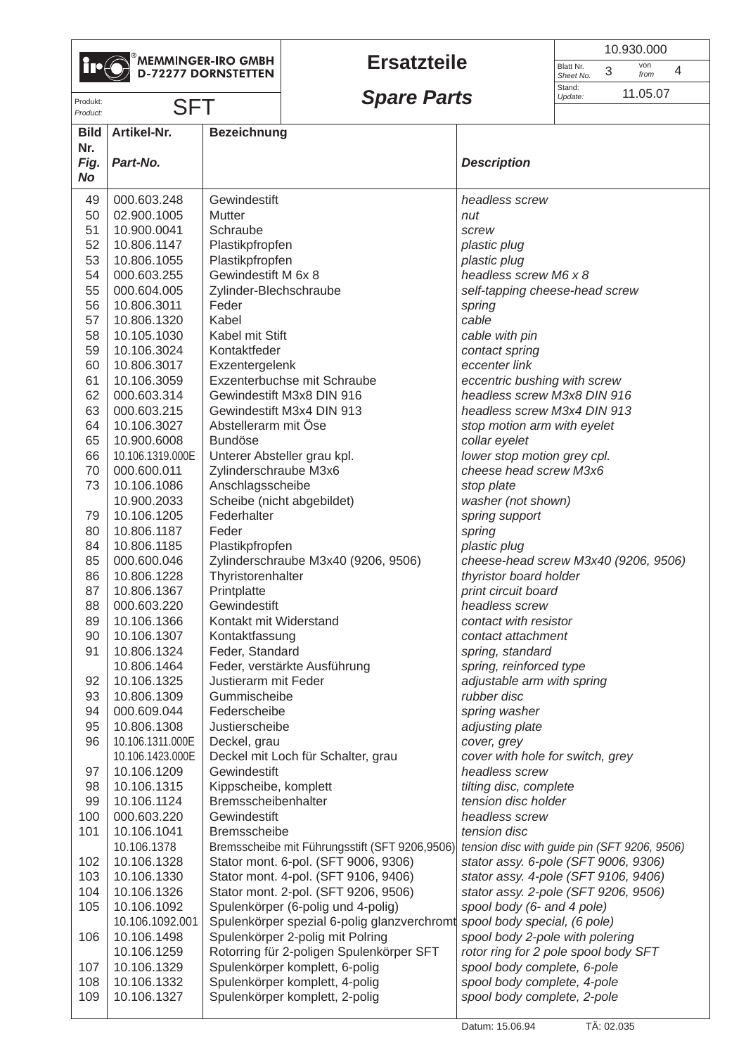

## **Ersatzteile**

|                        | 10.930.000            |  |  |  |
|------------------------|-----------------------|--|--|--|
| Blatt Nr.<br>Sheet No. | von<br>3<br>4<br>from |  |  |  |
| Stand:<br>Update:      | 11.05.07              |  |  |  |

Produkt:<br>*Produkt:* SFT **Spare Parts** Sudde: 11.05.07

| Product:           | <b>DL 1</b>                |                                                               |                                              |  |
|--------------------|----------------------------|---------------------------------------------------------------|----------------------------------------------|--|
| <b>Bild</b><br>Nr. | Artikel-Nr.                | <b>Bezeichnung</b>                                            |                                              |  |
| Fig.               | Part-No.                   |                                                               | <b>Description</b>                           |  |
| <b>No</b>          |                            |                                                               |                                              |  |
| 49                 | 000.603.248                | Gewindestift                                                  | headless screw                               |  |
| 50                 | 02.900.1005                | Mutter                                                        | nut                                          |  |
| 51                 | 10.900.0041                | Schraube                                                      | screw                                        |  |
| 52                 | 10.806.1147                | Plastikpfropfen                                               | plastic plug                                 |  |
| 53                 | 10.806.1055                | Plastikpfropfen                                               | plastic plug                                 |  |
| 54                 | 000.603.255                | Gewindestift M 6x 8                                           | headless screw M6 x 8                        |  |
| 55                 | 000.604.005                | Zylinder-Blechschraube                                        | self-tapping cheese-head screw               |  |
| 56                 | 10.806.3011                | Feder                                                         | spring                                       |  |
| 57                 | 10.806.1320                | Kabel                                                         | cable                                        |  |
| 58                 | 10.105.1030                | Kabel mit Stift                                               | cable with pin                               |  |
| 59                 | 10.106.3024                | Kontaktfeder                                                  | contact spring                               |  |
| 60                 | 10.806.3017                | Exzentergelenk                                                | eccenter link                                |  |
| 61                 | 10.106.3059                | Exzenterbuchse mit Schraube                                   | eccentric bushing with screw                 |  |
| 62                 | 000.603.314                | Gewindestift M3x8 DIN 916                                     | headless screw M3x8 DIN 916                  |  |
| 63                 | 000.603.215                | Gewindestift M3x4 DIN 913                                     | headless screw M3x4 DIN 913                  |  |
| 64<br>65           | 10.106.3027<br>10.900.6008 | Abstellerarm mit Öse<br><b>Bundöse</b>                        | stop motion arm with eyelet<br>collar eyelet |  |
| 66                 | 10.106.1319.000E           | Unterer Absteller grau kpl.                                   | lower stop motion grey cpl.                  |  |
| 70                 | 000.600.011                | Zylinderschraube M3x6                                         | cheese head screw M3x6                       |  |
| 73                 | 10.106.1086                | Anschlagsscheibe                                              | stop plate                                   |  |
|                    | 10.900.2033                | Scheibe (nicht abgebildet)                                    | washer (not shown)                           |  |
| 79                 | 10.106.1205                | Federhalter                                                   | spring support                               |  |
| 80                 | 10.806.1187                | Feder                                                         | spring                                       |  |
| 84                 | 10.806.1185                | Plastikpfropfen                                               | plastic plug                                 |  |
| 85                 | 000.600.046                | Zylinderschraube M3x40 (9206, 9506)                           | cheese-head screw M3x40 (9206, 9506)         |  |
| 86                 | 10.806.1228                | Thyristorenhalter                                             | thyristor board holder                       |  |
| 87                 | 10.806.1367                | Printplatte                                                   | print circuit board                          |  |
| 88                 | 000.603.220                | Gewindestift                                                  | headless screw                               |  |
| 89                 | 10.106.1366                | Kontakt mit Widerstand                                        | contact with resistor                        |  |
| 90                 | 10.106.1307                | Kontaktfassung                                                | contact attachment                           |  |
| 91                 | 10.806.1324                | Feder, Standard                                               | spring, standard                             |  |
|                    | 10.806.1464                | Feder, verstärkte Ausführung                                  | spring, reinforced type                      |  |
| 92                 | 10.106.1325                | Justierarm mit Feder                                          | adjustable arm with spring                   |  |
| 93                 | 10.806.1309                | Gummischeibe                                                  | rubber disc                                  |  |
| 94                 | 000.609.044                | Federscheibe                                                  | spring washer                                |  |
| 95                 | 10.806.1308                | Justierscheibe                                                | adjusting plate                              |  |
| 96                 | 10.106.1311.000E           | Deckel, grau                                                  | cover, grey                                  |  |
|                    | 10.106.1423.000E           | Deckel mit Loch für Schalter, grau                            | cover with hole for switch, grey             |  |
| 97<br>98           | 10.106.1209<br>10.106.1315 | Gewindestift<br>Kippscheibe, komplett                         | headless screw<br>tilting disc, complete     |  |
| 99                 | 10.106.1124                | Bremsscheibenhalter                                           | tension disc holder                          |  |
| 100                | 000.603.220                | Gewindestift<br>headless screw                                |                                              |  |
| 101                | 10.106.1041                | Bremsscheibe                                                  | tension disc                                 |  |
|                    | 10.106.1378                | Bremsscheibe mit Führungsstift (SFT 9206,9506)                | tension disc with guide pin (SFT 9206, 9506) |  |
| 102                | 10.106.1328                | Stator mont. 6-pol. (SFT 9006, 9306)                          | stator assy. 6-pole (SFT 9006, 9306)         |  |
| 103                | 10.106.1330                | Stator mont. 4-pol. (SFT 9106, 9406)                          | stator assy. 4-pole (SFT 9106, 9406)         |  |
| 104                | 10.106.1326                | Stator mont. 2-pol. (SFT 9206, 9506)                          | stator assy. 2-pole (SFT 9206, 9506)         |  |
| 105                | 10.106.1092                | Spulenkörper (6-polig und 4-polig)                            | spool body (6- and 4 pole)                   |  |
|                    | 10.106.1092.001            | Spulenkörper spezial 6-polig glanzverchromt                   | spool body special, (6 pole)                 |  |
| 106                | 10.106.1498                | Spulenkörper 2-polig mit Polring                              | spool body 2-pole with polering              |  |
|                    | 10.106.1259                | Rotorring für 2-poligen Spulenkörper SFT                      | rotor ring for 2 pole spool body SFT         |  |
| 107                | 10.106.1329                | Spulenkörper komplett, 6-polig                                | spool body complete, 6-pole                  |  |
| 108                | 10.106.1332                | Spulenkörper komplett, 4-polig<br>spool body complete, 4-pole |                                              |  |
| 109                | 10.106.1327                | Spulenkörper komplett, 2-polig                                | spool body complete, 2-pole                  |  |
|                    |                            |                                                               |                                              |  |